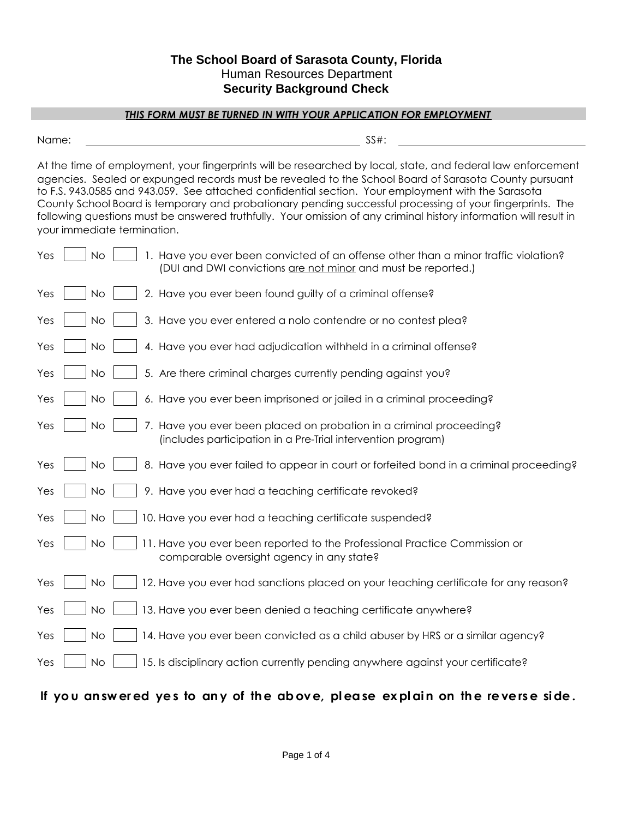### **The School Board of Sarasota County, Florida** Human Resources Department **Security Background Check**

#### *THIS FORM MUST BE TURNED IN WITH YOUR APPLICATION FOR EMPLOYMENT*

Name: SS#:

At the time of employment, your fingerprints will be researched by local, state, and federal law enforcement agencies. Sealed or expunged records must be revealed to the School Board of Sarasota County pursuant to F.S. 943.0585 and 943.059. See attached confidential section. Your employment with the Sarasota County School Board is temporary and probationary pending successful processing of your fingerprints. The following questions must be answered truthfully. Your omission of any criminal history information will result in your immediate termination.

| Yes | <b>No</b> | 1. Have you ever been convicted of an offense other than a minor traffic violation?<br>(DUI and DWI convictions are not minor and must be reported.) |
|-----|-----------|------------------------------------------------------------------------------------------------------------------------------------------------------|
| Yes | <b>No</b> | 2. Have you ever been found guilty of a criminal offense?                                                                                            |
| Yes | <b>No</b> | 3. Have you ever entered a nolo contendre or no contest plea?                                                                                        |
| Yes | <b>No</b> | 4. Have you ever had adjudication withheld in a criminal offense?                                                                                    |
| Yes | <b>No</b> | 5. Are there criminal charges currently pending against you?                                                                                         |
| Yes | <b>No</b> | 6. Have you ever been imprisoned or jailed in a criminal proceeding?                                                                                 |
| Yes | <b>No</b> | 7. Have you ever been placed on probation in a criminal proceeding?<br>(includes participation in a Pre-Trial intervention program)                  |
| Yes | <b>No</b> | 8. Have you ever failed to appear in court or forfeited bond in a criminal proceeding?                                                               |
| Yes | No        | 9. Have you ever had a teaching certificate revoked?                                                                                                 |
| Yes | <b>No</b> | 10. Have you ever had a teaching certificate suspended?                                                                                              |
| Yes | <b>No</b> | 11. Have you ever been reported to the Professional Practice Commission or<br>comparable oversight agency in any state?                              |
| Yes | <b>No</b> | 12. Have you ever had sanctions placed on your teaching certificate for any reason?                                                                  |
| Yes | <b>No</b> | 13. Have you ever been denied a teaching certificate anywhere?                                                                                       |
| Yes | <b>No</b> | 14. Have you ever been convicted as a child abuser by HRS or a similar agency?                                                                       |
| Yes | <b>No</b> | 15. Is disciplinary action currently pending anywhere against your certificate?                                                                      |

### If you an swered yes to any of the above, please explain on the reverse side.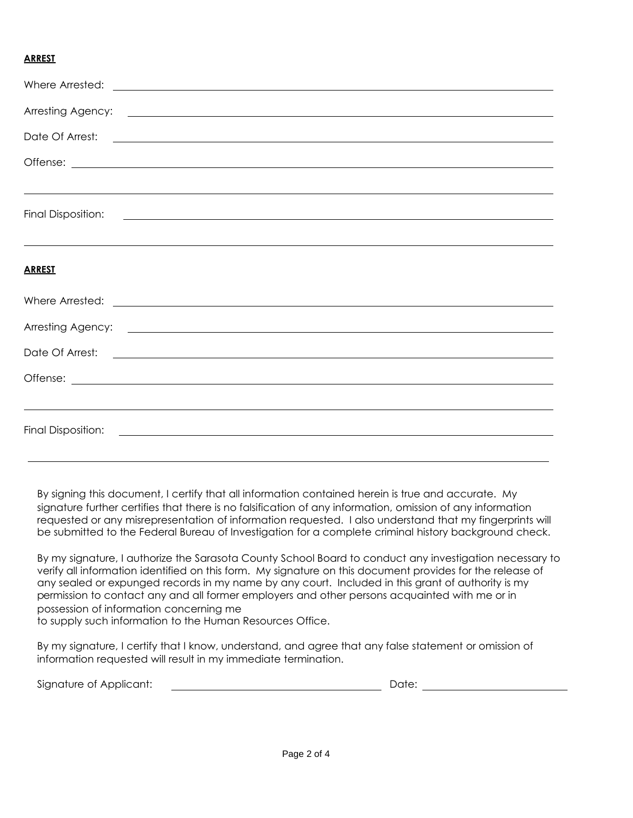#### **ARREST**

| Where Arrested: <u>example and the contract of the contract of the contract of the contract of the contract of the contract of the contract of the contract of the contract of the contract of the contract of the contract of t</u> |
|--------------------------------------------------------------------------------------------------------------------------------------------------------------------------------------------------------------------------------------|
|                                                                                                                                                                                                                                      |
| Date Of Arrest: <u>example and the contract of Arrest:</u>                                                                                                                                                                           |
|                                                                                                                                                                                                                                      |
|                                                                                                                                                                                                                                      |
|                                                                                                                                                                                                                                      |
|                                                                                                                                                                                                                                      |
| <b>ARREST</b>                                                                                                                                                                                                                        |
|                                                                                                                                                                                                                                      |
| Arresting Agency: <u>example and the set of the set of the set of the set of the set of the set of the set of the set of the set of the set of the set of the set of the set of the set of the set of the set of the set of the </u> |
| Date Of Arrest: <u>example and the contract of Arrest</u> and Arrest and Arrest and Arrest and Arrest and Arrest and Arrest and Arrest and Arrest and Arrest and Arrest and Arrest and Arrest and Arrest and Arrest and Arrest and   |
|                                                                                                                                                                                                                                      |
|                                                                                                                                                                                                                                      |
|                                                                                                                                                                                                                                      |

By signing this document, I certify that all information contained herein is true and accurate. My signature further certifies that there is no falsification of any information, omission of any information requested or any misrepresentation of information requested. I also understand that my fingerprints will be submitted to the Federal Bureau of Investigation for a complete criminal history background check.

By my signature, I authorize the Sarasota County School Board to conduct any investigation necessary to verify all information identified on this form. My signature on this document provides for the release of any sealed or expunged records in my name by any court. Included in this grant of authority is my permission to contact any and all former employers and other persons acquainted with me or in possession of information concerning me

to supply such information to the Human Resources Office.

By my signature, I certify that I know, understand, and agree that any false statement or omission of information requested will result in my immediate termination.

| Signature of Applicant: | Date |  |
|-------------------------|------|--|
|                         |      |  |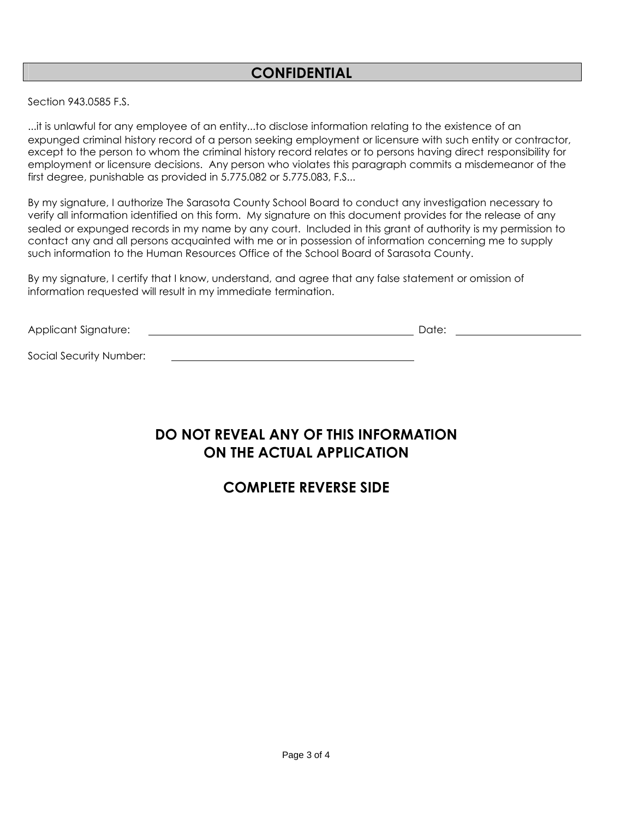Section 943.0585 F.S.

...it is unlawful for any employee of an entity...to disclose information relating to the existence of an expunged criminal history record of a person seeking employment or licensure with such entity or contractor, except to the person to whom the criminal history record relates or to persons having direct responsibility for employment or licensure decisions. Any person who violates this paragraph commits a misdemeanor of the first degree, punishable as provided in 5.775.082 or 5.775.083, F.S...

By my signature, I authorize The Sarasota County School Board to conduct any investigation necessary to verify all information identified on this form. My signature on this document provides for the release of any sealed or expunged records in my name by any court. Included in this grant of authority is my permission to contact any and all persons acquainted with me or in possession of information concerning me to supply such information to the Human Resources Office of the School Board of Sarasota County.

By my signature, I certify that I know, understand, and agree that any false statement or omission of information requested will result in my immediate termination.

Applicant Signature: The Contract of the Contract of the Contract of Contract of Contract of Contract of Contract of Contract of Contract of Contract of Contract of Contract of Contract of Contract of Contract of Contract

Social Security Number:

# **DO NOT REVEAL ANY OF THIS INFORMATION ON THE ACTUAL APPLICATION**

## **COMPLETE REVERSE SIDE**